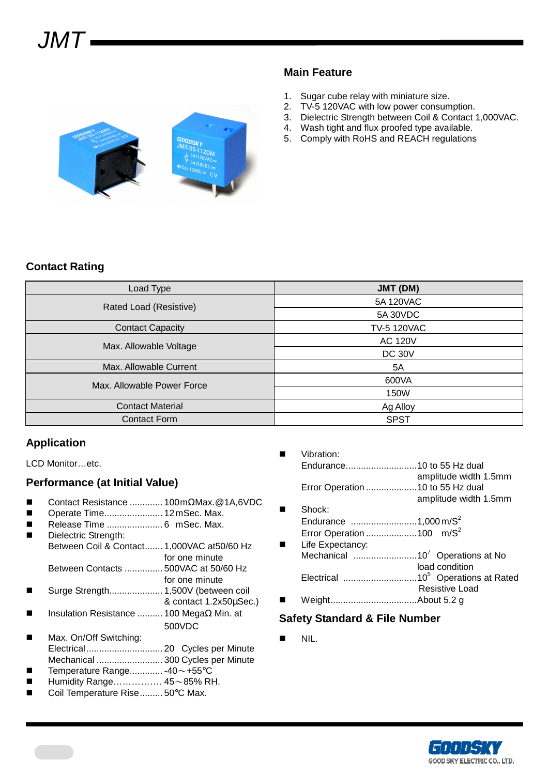

- 1. Sugar cube relay with miniature size.
- 2. TV-5 120VAC with low power consumption.
- 3. Dielectric Strength between Coil & Contact 1,000VAC.
- 4. Wash tight and flux proofed type available.
- 5. Comply with RoHS and REACH regulations



# **Contact Rating**

| Load Type                  | JMT (DM)           |  |  |  |
|----------------------------|--------------------|--|--|--|
| Rated Load (Resistive)     | 5A 120VAC          |  |  |  |
|                            | 5A 30VDC           |  |  |  |
| <b>Contact Capacity</b>    | <b>TV-5 120VAC</b> |  |  |  |
| Max. Allowable Voltage     | <b>AC 120V</b>     |  |  |  |
|                            | <b>DC 30V</b>      |  |  |  |
| Max. Allowable Current     | 5A                 |  |  |  |
| Max. Allowable Power Force | 600VA              |  |  |  |
|                            | 150W               |  |  |  |
| <b>Contact Material</b>    | Ag Alloy           |  |  |  |
| <b>Contact Form</b>        | <b>SPST</b>        |  |  |  |

### **Application**

LCD Monitor…etc.

### **Performance (at Initial Value)**

- Contact Resistance ............. 100 mΩMax.@1A,6VDC
- Operate Time....................... 12 mSec. Max.
- Release Time ...................... 6 mSec. Max.
	- Dielectric Strength: Between Coil & Contact....... 1,000VAC at50/60 Hz for one minute Between Contacts ............... 500VAC at 50/60 Hz
- for one minute Surge Strength..................... 1,500V (between coil
- & contact 1.2x50µSec.) Insulation Resistance .......... 100 MegaΩ Min. at
- 500VDC Max. On/Off Switching:
- Electrical.............................. 20 Cycles per Minute Mechanical .......................... 300 Cycles per Minute
- Temperature Range............. -40~+55°C
- Humidity Range……………. 45~85% RH.
- Coil Temperature Rise......... 50°C Max.

 Vibration: Endurance............................10 to 55 Hz dual amplitude width 1.5mm Error Operation ....................10 to 55 Hz dual amplitude width 1.5mm Shock: Endurance ..........................1,000 m/S<sup>2</sup> Error Operation .......................100 m/S<sup>2</sup> Life Expectancy: Mechanical .........................10<sup>7</sup>Operations at No load condition Electrical .............................10<sup>5</sup>Operations at Rated Resistive Load Weight..................................About 5.2 g

## **Safety Standard & File Number**

 $\blacksquare$  NIL.